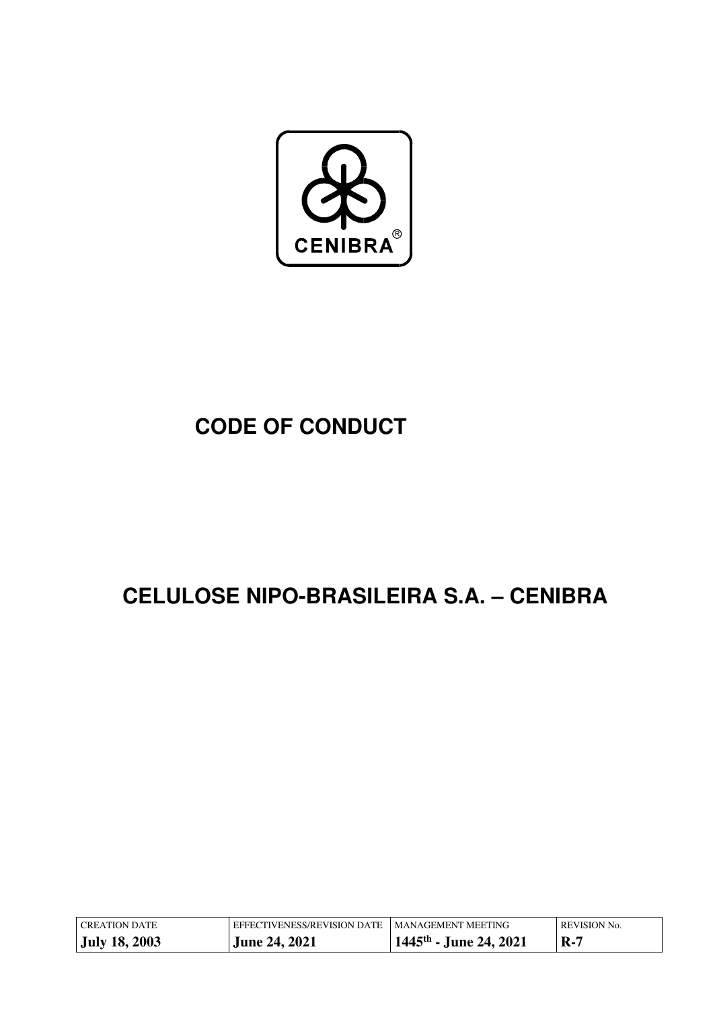

# **CODE OF CONDUCT**

# **CELULOSE NIPO-BRASILEIRA S.A. – CENIBRA**

| CREATION DATE        | EFFECTIVENESS/REVISION DATE I MANAGEMENT MEETING |                                    | <b>REVISION No.</b> |
|----------------------|--------------------------------------------------|------------------------------------|---------------------|
| <b>July 18, 2003</b> | <b>June 24, 2021</b>                             | 1445 <sup>th</sup> - June 24, 2021 | $\mathbf{R}$ -7     |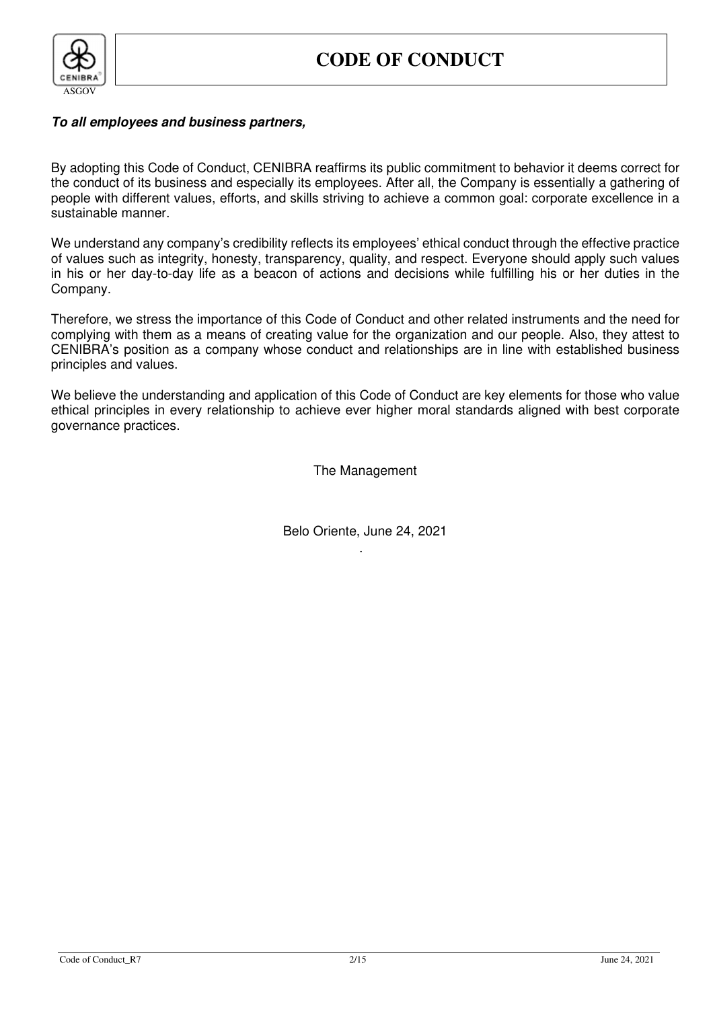

#### **To all employees and business partners,**

By adopting this Code of Conduct, CENIBRA reaffirms its public commitment to behavior it deems correct for the conduct of its business and especially its employees. After all, the Company is essentially a gathering of people with different values, efforts, and skills striving to achieve a common goal: corporate excellence in a sustainable manner.

We understand any company's credibility reflects its employees' ethical conduct through the effective practice of values such as integrity, honesty, transparency, quality, and respect. Everyone should apply such values in his or her day-to-day life as a beacon of actions and decisions while fulfilling his or her duties in the Company.

Therefore, we stress the importance of this Code of Conduct and other related instruments and the need for complying with them as a means of creating value for the organization and our people. Also, they attest to CENIBRA's position as a company whose conduct and relationships are in line with established business principles and values.

We believe the understanding and application of this Code of Conduct are key elements for those who value ethical principles in every relationship to achieve ever higher moral standards aligned with best corporate governance practices.

The Management

Belo Oriente, June 24, 2021 .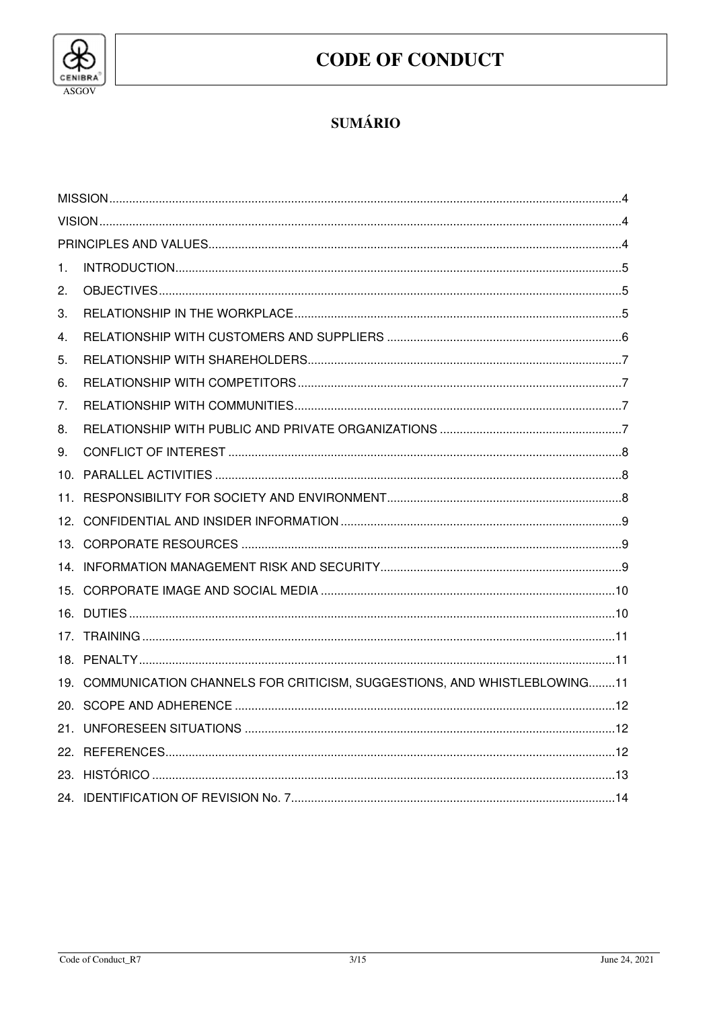

# **CODE OF CONDUCT**

# **SUMÁRIO**

| 1. |                                                                             |  |  |  |  |
|----|-----------------------------------------------------------------------------|--|--|--|--|
| 2. |                                                                             |  |  |  |  |
| З. |                                                                             |  |  |  |  |
| 4. |                                                                             |  |  |  |  |
| 5. |                                                                             |  |  |  |  |
| 6. |                                                                             |  |  |  |  |
| 7. |                                                                             |  |  |  |  |
| 8. |                                                                             |  |  |  |  |
| 9. |                                                                             |  |  |  |  |
|    |                                                                             |  |  |  |  |
|    |                                                                             |  |  |  |  |
|    |                                                                             |  |  |  |  |
|    |                                                                             |  |  |  |  |
|    |                                                                             |  |  |  |  |
|    |                                                                             |  |  |  |  |
|    |                                                                             |  |  |  |  |
|    |                                                                             |  |  |  |  |
|    |                                                                             |  |  |  |  |
|    | 19. COMMUNICATION CHANNELS FOR CRITICISM, SUGGESTIONS, AND WHISTLEBLOWING11 |  |  |  |  |
|    |                                                                             |  |  |  |  |
|    |                                                                             |  |  |  |  |
|    |                                                                             |  |  |  |  |
|    |                                                                             |  |  |  |  |
|    |                                                                             |  |  |  |  |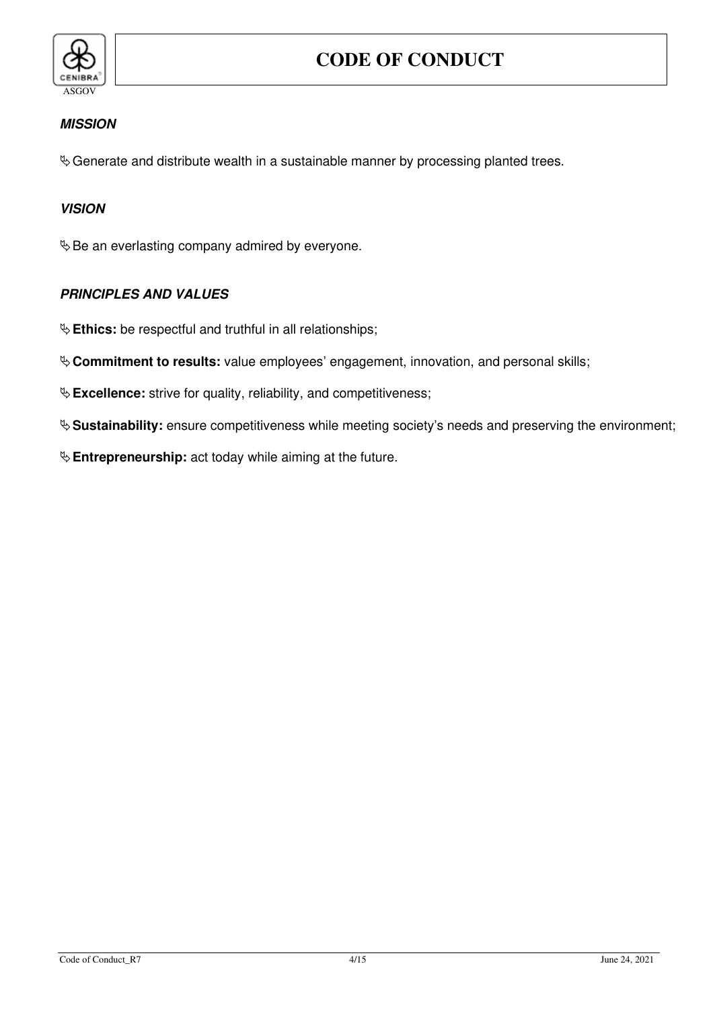

# **MISSION**

 $\&$  Generate and distribute wealth in a sustainable manner by processing planted trees.

# **VISION**

 $\&$  Be an everlasting company admired by everyone.

# **PRINCIPLES AND VALUES**

 $\&$  Ethics: be respectful and truthful in all relationships;

**Commitment to results:** value employees' engagement, innovation, and personal skills;

 $\&$  **Excellence:** strive for quality, reliability, and competitiveness;

**Sustainability:** ensure competitiveness while meeting society's needs and preserving the environment;

**Entrepreneurship:** act today while aiming at the future.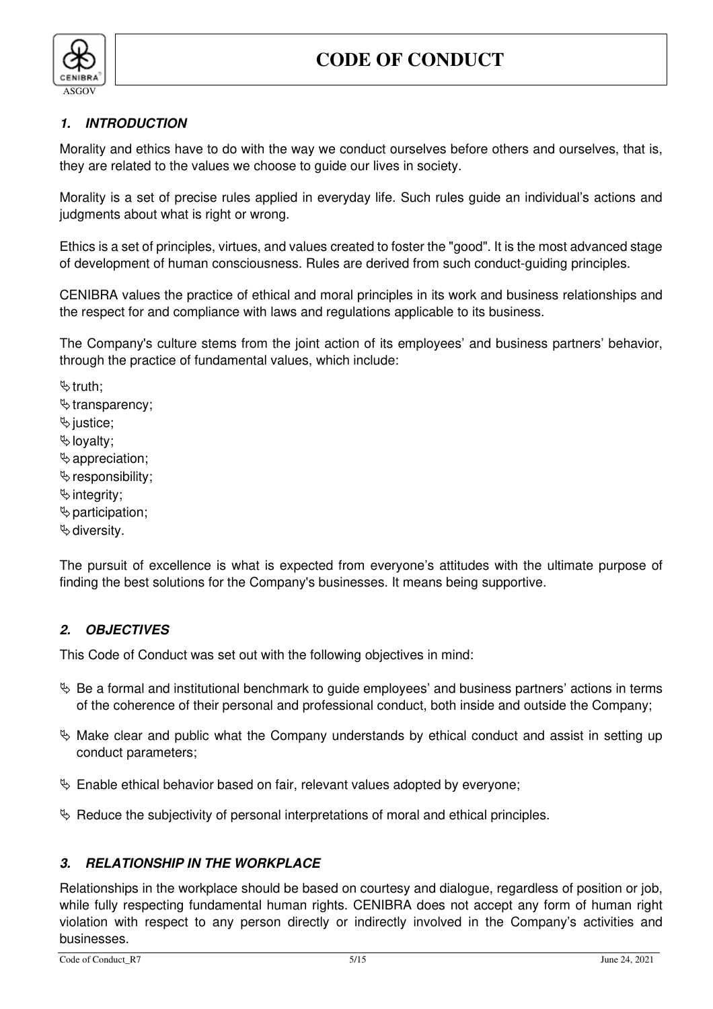

# **1. INTRODUCTION**

Morality and ethics have to do with the way we conduct ourselves before others and ourselves, that is, they are related to the values we choose to guide our lives in society.

Morality is a set of precise rules applied in everyday life. Such rules guide an individual's actions and judgments about what is right or wrong.

Ethics is a set of principles, virtues, and values created to foster the "good". It is the most advanced stage of development of human consciousness. Rules are derived from such conduct-guiding principles.

CENIBRA values the practice of ethical and moral principles in its work and business relationships and the respect for and compliance with laws and regulations applicable to its business.

The Company's culture stems from the joint action of its employees' and business partners' behavior, through the practice of fundamental values, which include:

 $\mathfrak{b}$  truth;

- $\mathfrak{b}$  transparency;
- $\%$  justice;
- loyalty;
- $\&$  appreciation;
- $\mathfrak b$  responsibility;
- $\%$  integrity;
- $\&$  participation;
- $\&$  diversity.

The pursuit of excellence is what is expected from everyone's attitudes with the ultimate purpose of finding the best solutions for the Company's businesses. It means being supportive.

# **2. OBJECTIVES**

This Code of Conduct was set out with the following objectives in mind:

- $\%$  Be a formal and institutional benchmark to guide employees' and business partners' actions in terms of the coherence of their personal and professional conduct, both inside and outside the Company;
- $\%$  Make clear and public what the Company understands by ethical conduct and assist in setting up conduct parameters;
- $\%$  Enable ethical behavior based on fair, relevant values adopted by everyone;
- $\%$  Reduce the subjectivity of personal interpretations of moral and ethical principles.

# **3. RELATIONSHIP IN THE WORKPLACE**

Relationships in the workplace should be based on courtesy and dialogue, regardless of position or job, while fully respecting fundamental human rights. CENIBRA does not accept any form of human right violation with respect to any person directly or indirectly involved in the Company's activities and businesses.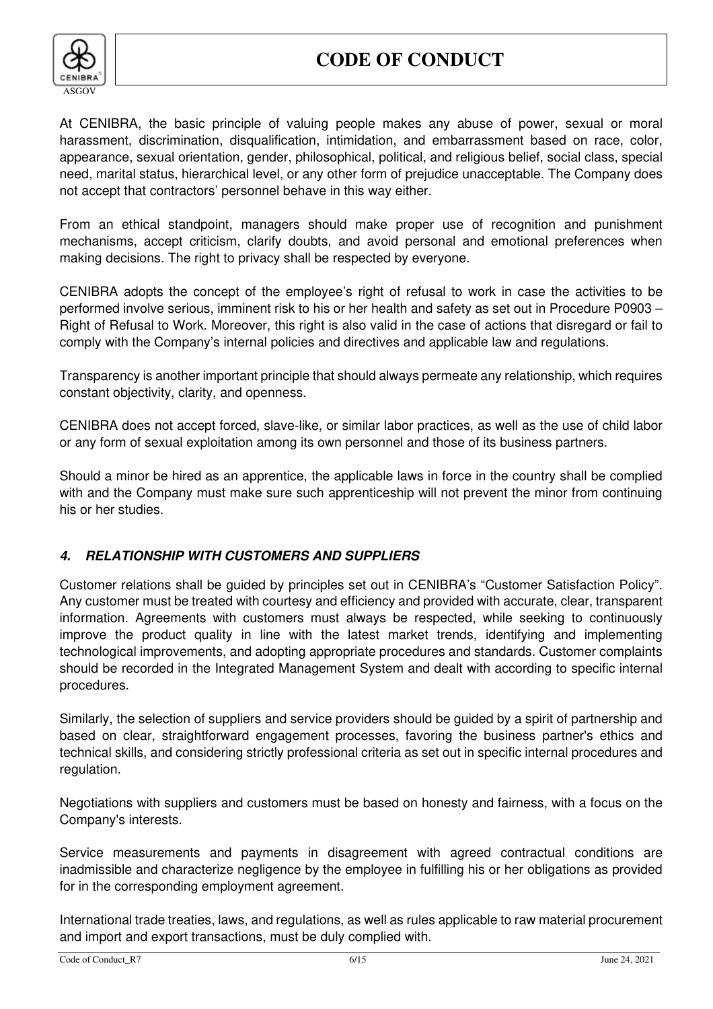

At CENIBRA, the basic principle of valuing people makes any abuse of power, sexual or moral harassment, discrimination, disqualification, intimidation, and embarrassment based on race, color, appearance, sexual orientation, gender, philosophical, political, and religious belief, social class, special need, marital status, hierarchical level, or any other form of prejudice unacceptable. The Company does not accept that contractors' personnel behave in this way either.

From an ethical standpoint, managers should make proper use of recognition and punishment mechanisms, accept criticism, clarify doubts, and avoid personal and emotional preferences when making decisions. The right to privacy shall be respected by everyone.

CENIBRA adopts the concept of the employee's right of refusal to work in case the activities to be performed involve serious, imminent risk to his or her health and safety as set out in Procedure P0903 – Right of Refusal to Work. Moreover, this right is also valid in the case of actions that disregard or fail to comply with the Company's internal policies and directives and applicable law and regulations.

Transparency is another important principle that should always permeate any relationship, which requires constant objectivity, clarity, and openness.

CENIBRA does not accept forced, slave-like, or similar labor practices, as well as the use of child labor or any form of sexual exploitation among its own personnel and those of its business partners.

Should a minor be hired as an apprentice, the applicable laws in force in the country shall be complied with and the Company must make sure such apprenticeship will not prevent the minor from continuing his or her studies.

# **4. RELATIONSHIP WITH CUSTOMERS AND SUPPLIERS**

Customer relations shall be guided by principles set out in CENIBRA's "Customer Satisfaction Policy". Any customer must be treated with courtesy and efficiency and provided with accurate, clear, transparent information. Agreements with customers must always be respected, while seeking to continuously improve the product quality in line with the latest market trends, identifying and implementing technological improvements, and adopting appropriate procedures and standards. Customer complaints should be recorded in the Integrated Management System and dealt with according to specific internal procedures.

Similarly, the selection of suppliers and service providers should be guided by a spirit of partnership and based on clear, straightforward engagement processes, favoring the business partner's ethics and technical skills, and considering strictly professional criteria as set out in specific internal procedures and regulation.

Negotiations with suppliers and customers must be based on honesty and fairness, with a focus on the Company's interests.

Service measurements and payments in disagreement with agreed contractual conditions are inadmissible and characterize negligence by the employee in fulfilling his or her obligations as provided for in the corresponding employment agreement.

International trade treaties, laws, and regulations, as well as rules applicable to raw material procurement and import and export transactions, must be duly complied with.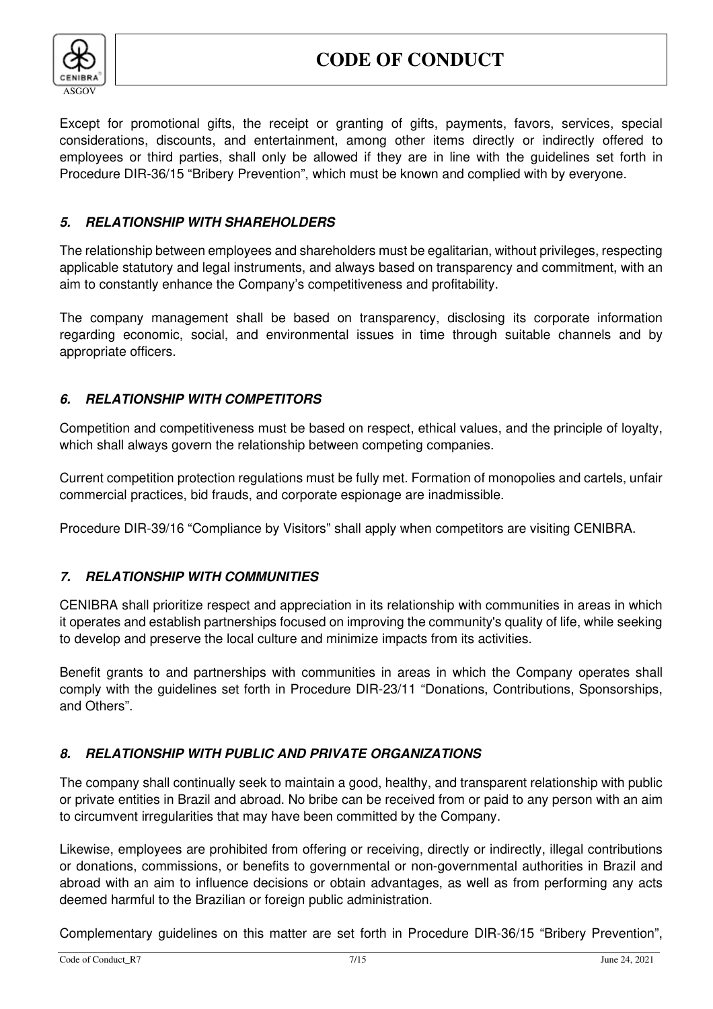

Except for promotional gifts, the receipt or granting of gifts, payments, favors, services, special considerations, discounts, and entertainment, among other items directly or indirectly offered to employees or third parties, shall only be allowed if they are in line with the guidelines set forth in Procedure DIR-36/15 "Bribery Prevention", which must be known and complied with by everyone.

# **5. RELATIONSHIP WITH SHAREHOLDERS**

The relationship between employees and shareholders must be egalitarian, without privileges, respecting applicable statutory and legal instruments, and always based on transparency and commitment, with an aim to constantly enhance the Company's competitiveness and profitability.

The company management shall be based on transparency, disclosing its corporate information regarding economic, social, and environmental issues in time through suitable channels and by appropriate officers.

# **6. RELATIONSHIP WITH COMPETITORS**

Competition and competitiveness must be based on respect, ethical values, and the principle of loyalty, which shall always govern the relationship between competing companies.

Current competition protection regulations must be fully met. Formation of monopolies and cartels, unfair commercial practices, bid frauds, and corporate espionage are inadmissible.

Procedure DIR-39/16 "Compliance by Visitors" shall apply when competitors are visiting CENIBRA.

# **7. RELATIONSHIP WITH COMMUNITIES**

CENIBRA shall prioritize respect and appreciation in its relationship with communities in areas in which it operates and establish partnerships focused on improving the community's quality of life, while seeking to develop and preserve the local culture and minimize impacts from its activities.

Benefit grants to and partnerships with communities in areas in which the Company operates shall comply with the guidelines set forth in Procedure DIR-23/11 "Donations, Contributions, Sponsorships, and Others".

# **8. RELATIONSHIP WITH PUBLIC AND PRIVATE ORGANIZATIONS**

The company shall continually seek to maintain a good, healthy, and transparent relationship with public or private entities in Brazil and abroad. No bribe can be received from or paid to any person with an aim to circumvent irregularities that may have been committed by the Company.

Likewise, employees are prohibited from offering or receiving, directly or indirectly, illegal contributions or donations, commissions, or benefits to governmental or non-governmental authorities in Brazil and abroad with an aim to influence decisions or obtain advantages, as well as from performing any acts deemed harmful to the Brazilian or foreign public administration.

Complementary guidelines on this matter are set forth in Procedure DIR-36/15 "Bribery Prevention",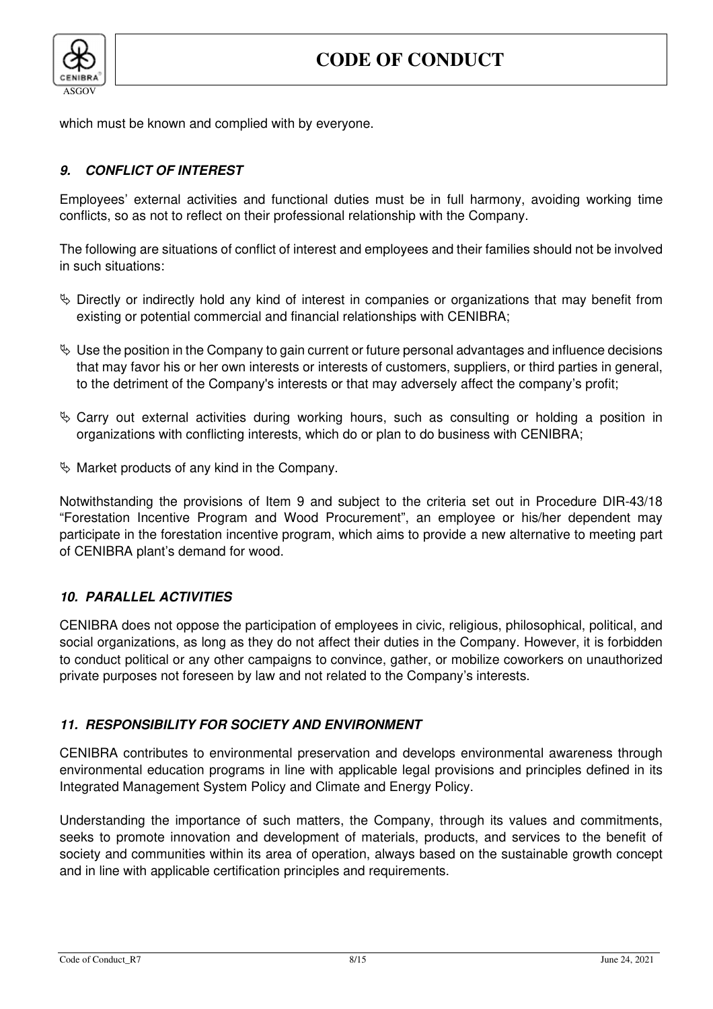

which must be known and complied with by everyone.

# **9. CONFLICT OF INTEREST**

Employees' external activities and functional duties must be in full harmony, avoiding working time conflicts, so as not to reflect on their professional relationship with the Company.

The following are situations of conflict of interest and employees and their families should not be involved in such situations:

- $\%$  Directly or indirectly hold any kind of interest in companies or organizations that may benefit from existing or potential commercial and financial relationships with CENIBRA;
- $\%$  Use the position in the Company to gain current or future personal advantages and influence decisions that may favor his or her own interests or interests of customers, suppliers, or third parties in general, to the detriment of the Company's interests or that may adversely affect the company's profit;
- $\&$  Carry out external activities during working hours, such as consulting or holding a position in organizations with conflicting interests, which do or plan to do business with CENIBRA;
- $\%$  Market products of any kind in the Company.

Notwithstanding the provisions of Item 9 and subject to the criteria set out in Procedure DIR-43/18 "Forestation Incentive Program and Wood Procurement", an employee or his/her dependent may participate in the forestation incentive program, which aims to provide a new alternative to meeting part of CENIBRA plant's demand for wood.

# **10. PARALLEL ACTIVITIES**

CENIBRA does not oppose the participation of employees in civic, religious, philosophical, political, and social organizations, as long as they do not affect their duties in the Company. However, it is forbidden to conduct political or any other campaigns to convince, gather, or mobilize coworkers on unauthorized private purposes not foreseen by law and not related to the Company's interests.

#### **11. RESPONSIBILITY FOR SOCIETY AND ENVIRONMENT**

CENIBRA contributes to environmental preservation and develops environmental awareness through environmental education programs in line with applicable legal provisions and principles defined in its Integrated Management System Policy and Climate and Energy Policy.

Understanding the importance of such matters, the Company, through its values and commitments, seeks to promote innovation and development of materials, products, and services to the benefit of society and communities within its area of operation, always based on the sustainable growth concept and in line with applicable certification principles and requirements.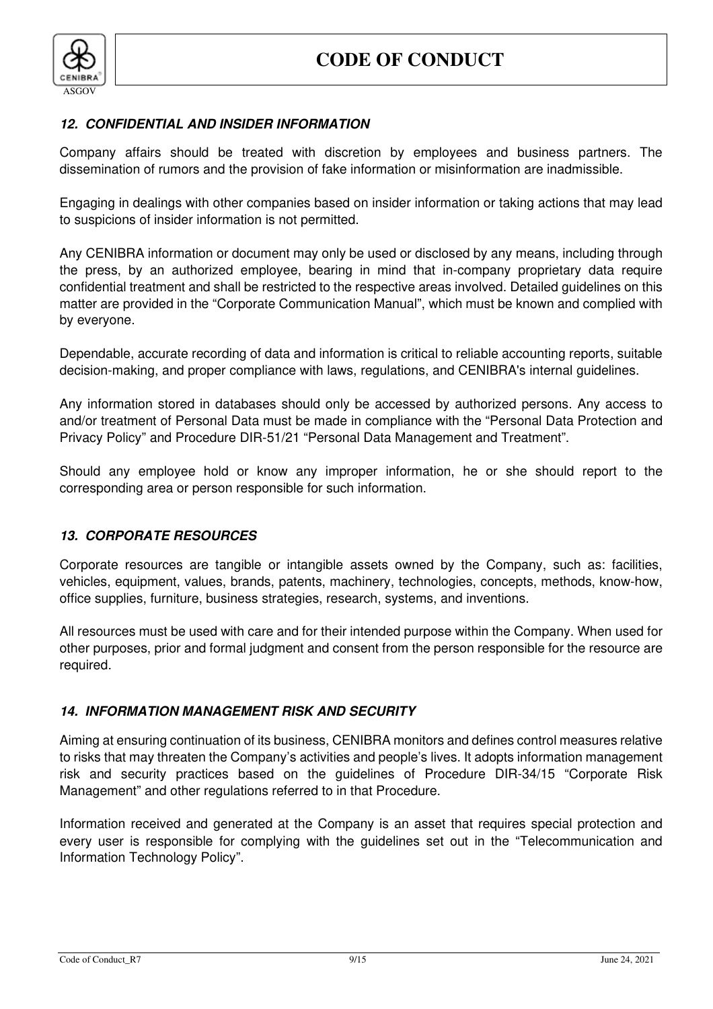

#### **12. CONFIDENTIAL AND INSIDER INFORMATION**

Company affairs should be treated with discretion by employees and business partners. The dissemination of rumors and the provision of fake information or misinformation are inadmissible.

Engaging in dealings with other companies based on insider information or taking actions that may lead to suspicions of insider information is not permitted.

Any CENIBRA information or document may only be used or disclosed by any means, including through the press, by an authorized employee, bearing in mind that in-company proprietary data require confidential treatment and shall be restricted to the respective areas involved. Detailed guidelines on this matter are provided in the "Corporate Communication Manual", which must be known and complied with by everyone.

Dependable, accurate recording of data and information is critical to reliable accounting reports, suitable decision-making, and proper compliance with laws, regulations, and CENIBRA's internal guidelines.

Any information stored in databases should only be accessed by authorized persons. Any access to and/or treatment of Personal Data must be made in compliance with the "Personal Data Protection and Privacy Policy" and Procedure DIR-51/21 "Personal Data Management and Treatment".

Should any employee hold or know any improper information, he or she should report to the corresponding area or person responsible for such information.

#### **13. CORPORATE RESOURCES**

Corporate resources are tangible or intangible assets owned by the Company, such as: facilities, vehicles, equipment, values, brands, patents, machinery, technologies, concepts, methods, know-how, office supplies, furniture, business strategies, research, systems, and inventions.

All resources must be used with care and for their intended purpose within the Company. When used for other purposes, prior and formal judgment and consent from the person responsible for the resource are required.

#### **14. INFORMATION MANAGEMENT RISK AND SECURITY**

Aiming at ensuring continuation of its business, CENIBRA monitors and defines control measures relative to risks that may threaten the Company's activities and people's lives. It adopts information management risk and security practices based on the guidelines of Procedure DIR-34/15 "Corporate Risk Management" and other regulations referred to in that Procedure.

Information received and generated at the Company is an asset that requires special protection and every user is responsible for complying with the guidelines set out in the "Telecommunication and Information Technology Policy".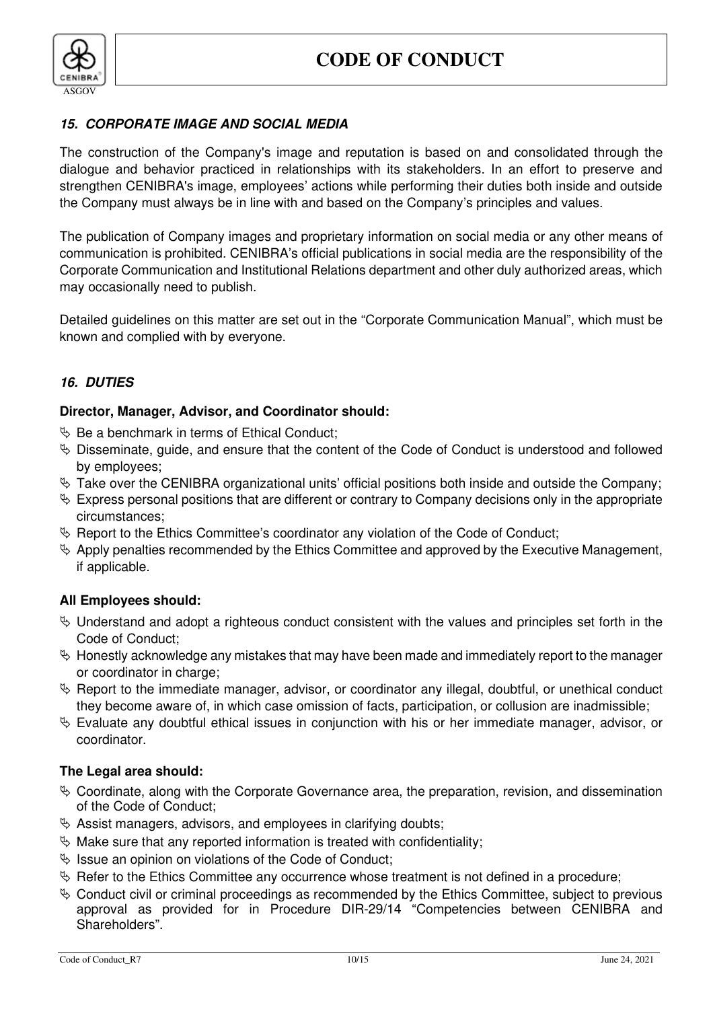

### **15. CORPORATE IMAGE AND SOCIAL MEDIA**

The construction of the Company's image and reputation is based on and consolidated through the dialogue and behavior practiced in relationships with its stakeholders. In an effort to preserve and strengthen CENIBRA's image, employees' actions while performing their duties both inside and outside the Company must always be in line with and based on the Company's principles and values.

The publication of Company images and proprietary information on social media or any other means of communication is prohibited. CENIBRA's official publications in social media are the responsibility of the Corporate Communication and Institutional Relations department and other duly authorized areas, which may occasionally need to publish.

Detailed guidelines on this matter are set out in the "Corporate Communication Manual", which must be known and complied with by everyone.

#### **16. DUTIES**

#### **Director, Manager, Advisor, and Coordinator should:**

- $\%$  Be a benchmark in terms of Ethical Conduct;
- $\%$  Disseminate, guide, and ensure that the content of the Code of Conduct is understood and followed by employees;
- $\%$  Take over the CENIBRA organizational units' official positions both inside and outside the Company;
- $\%$  Express personal positions that are different or contrary to Company decisions only in the appropriate circumstances;
- $\&$  Report to the Ethics Committee's coordinator any violation of the Code of Conduct:
- $\&$  Apply penalties recommended by the Ethics Committee and approved by the Executive Management, if applicable.

#### **All Employees should:**

- $\%$  Understand and adopt a righteous conduct consistent with the values and principles set forth in the Code of Conduct;
- $\%$  Honestly acknowledge any mistakes that may have been made and immediately report to the manager or coordinator in charge;
- $\&$  Report to the immediate manager, advisor, or coordinator any illegal, doubtful, or unethical conduct they become aware of, in which case omission of facts, participation, or collusion are inadmissible;
- $\%$  Evaluate any doubtful ethical issues in conjunction with his or her immediate manager, advisor, or coordinator.

#### **The Legal area should:**

- $\&$  Coordinate, along with the Corporate Governance area, the preparation, revision, and dissemination of the Code of Conduct;
- $\&$  Assist managers, advisors, and employees in clarifying doubts;
- $\&$  Make sure that any reported information is treated with confidentiality;
- $\%$  Issue an opinion on violations of the Code of Conduct:
- $\&$  Refer to the Ethics Committee any occurrence whose treatment is not defined in a procedure;
- $\&$  Conduct civil or criminal proceedings as recommended by the Ethics Committee, subject to previous approval as provided for in Procedure DIR-29/14 "Competencies between CENIBRA and Shareholders".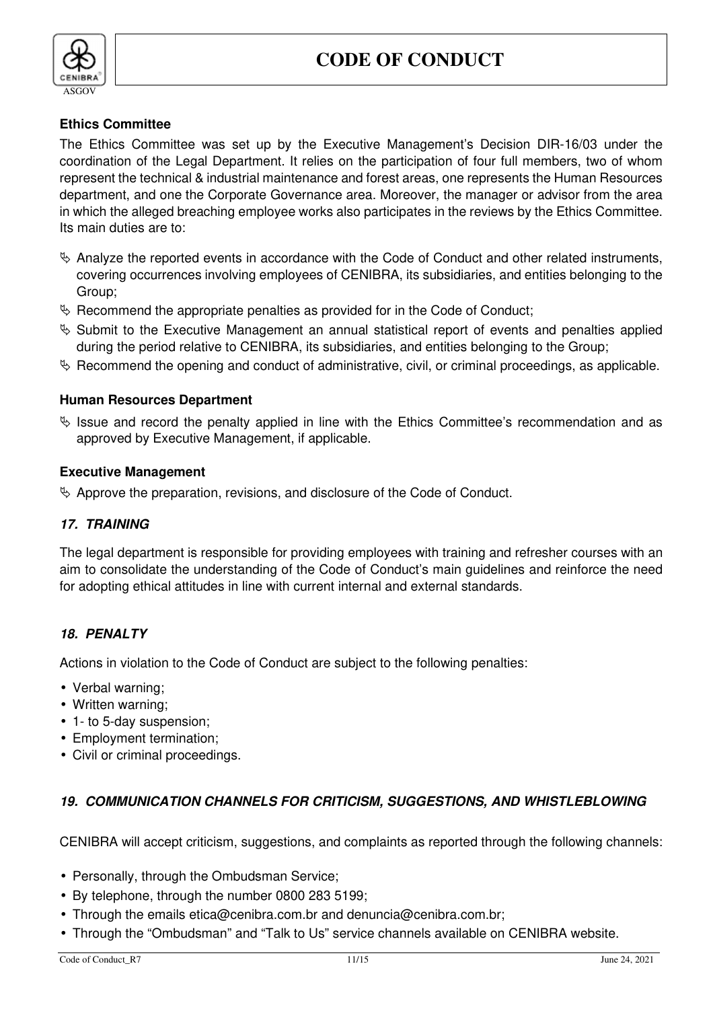

# **Ethics Committee**

The Ethics Committee was set up by the Executive Management's Decision DIR-16/03 under the coordination of the Legal Department. It relies on the participation of four full members, two of whom represent the technical & industrial maintenance and forest areas, one represents the Human Resources department, and one the Corporate Governance area. Moreover, the manager or advisor from the area in which the alleged breaching employee works also participates in the reviews by the Ethics Committee. Its main duties are to:

- $\&$  Analyze the reported events in accordance with the Code of Conduct and other related instruments, covering occurrences involving employees of CENIBRA, its subsidiaries, and entities belonging to the Group;
- $\&$  Recommend the appropriate penalties as provided for in the Code of Conduct;
- $\%$  Submit to the Executive Management an annual statistical report of events and penalties applied during the period relative to CENIBRA, its subsidiaries, and entities belonging to the Group;
- $\%$  Recommend the opening and conduct of administrative, civil, or criminal proceedings, as applicable.

# **Human Resources Department**

 $\%$  Issue and record the penalty applied in line with the Ethics Committee's recommendation and as approved by Executive Management, if applicable.

#### **Executive Management**

 $\&$  Approve the preparation, revisions, and disclosure of the Code of Conduct.

# **17. TRAINING**

The legal department is responsible for providing employees with training and refresher courses with an aim to consolidate the understanding of the Code of Conduct's main guidelines and reinforce the need for adopting ethical attitudes in line with current internal and external standards.

# **18. PENALTY**

Actions in violation to the Code of Conduct are subject to the following penalties:

- Verbal warning;
- Written warning;
- 1- to 5-day suspension;
- Employment termination;
- Civil or criminal proceedings.

# **19. COMMUNICATION CHANNELS FOR CRITICISM, SUGGESTIONS, AND WHISTLEBLOWING**

CENIBRA will accept criticism, suggestions, and complaints as reported through the following channels:

- Personally, through the Ombudsman Service;
- By telephone, through the number 0800 283 5199;
- Through the emails etica@cenibra.com.br and denuncia@cenibra.com.br;
- Through the "Ombudsman" and "Talk to Us" service channels available on CENIBRA website.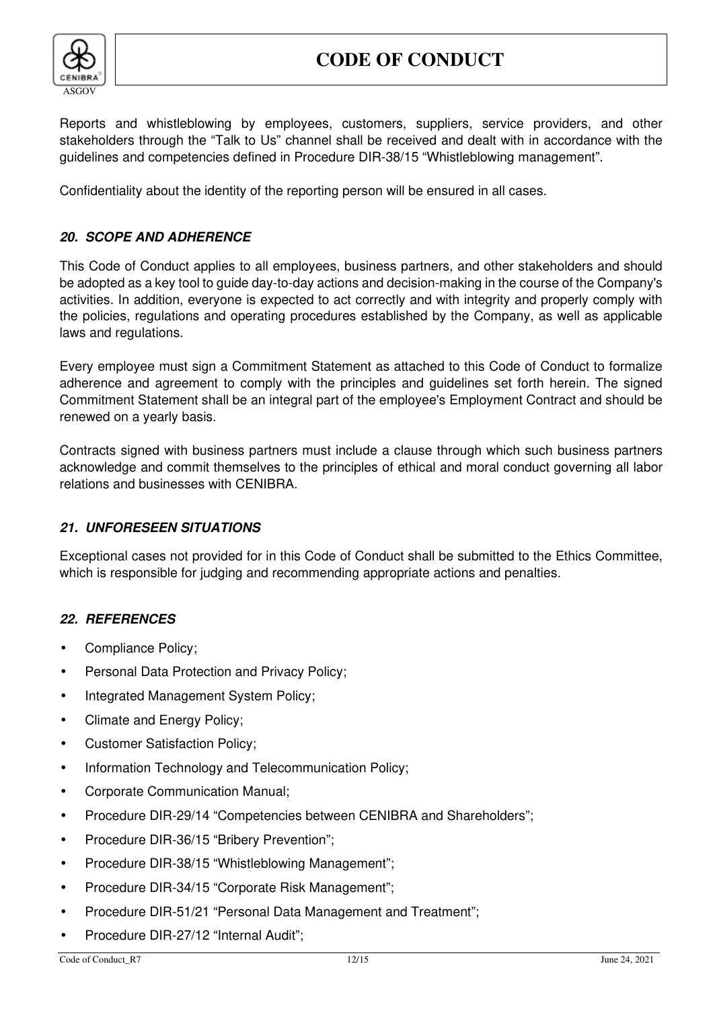

Reports and whistleblowing by employees, customers, suppliers, service providers, and other stakeholders through the "Talk to Us" channel shall be received and dealt with in accordance with the guidelines and competencies defined in Procedure DIR-38/15 "Whistleblowing management".

Confidentiality about the identity of the reporting person will be ensured in all cases.

# **20. SCOPE AND ADHERENCE**

This Code of Conduct applies to all employees, business partners, and other stakeholders and should be adopted as a key tool to guide day-to-day actions and decision-making in the course of the Company's activities. In addition, everyone is expected to act correctly and with integrity and properly comply with the policies, regulations and operating procedures established by the Company, as well as applicable laws and regulations.

Every employee must sign a Commitment Statement as attached to this Code of Conduct to formalize adherence and agreement to comply with the principles and guidelines set forth herein. The signed Commitment Statement shall be an integral part of the employee's Employment Contract and should be renewed on a yearly basis.

Contracts signed with business partners must include a clause through which such business partners acknowledge and commit themselves to the principles of ethical and moral conduct governing all labor relations and businesses with CENIBRA.

# **21. UNFORESEEN SITUATIONS**

Exceptional cases not provided for in this Code of Conduct shall be submitted to the Ethics Committee, which is responsible for judging and recommending appropriate actions and penalties.

# **22. REFERENCES**

- Compliance Policy;
- Personal Data Protection and Privacy Policy;
- Integrated Management System Policy;
- Climate and Energy Policy;
- Customer Satisfaction Policy;
- Information Technology and Telecommunication Policy;
- Corporate Communication Manual;
- Procedure DIR-29/14 "Competencies between CENIBRA and Shareholders";
- Procedure DIR-36/15 "Bribery Prevention";
- Procedure DIR-38/15 "Whistleblowing Management";
- Procedure DIR-34/15 "Corporate Risk Management";
- Procedure DIR-51/21 "Personal Data Management and Treatment";
- Procedure DIR-27/12 "Internal Audit";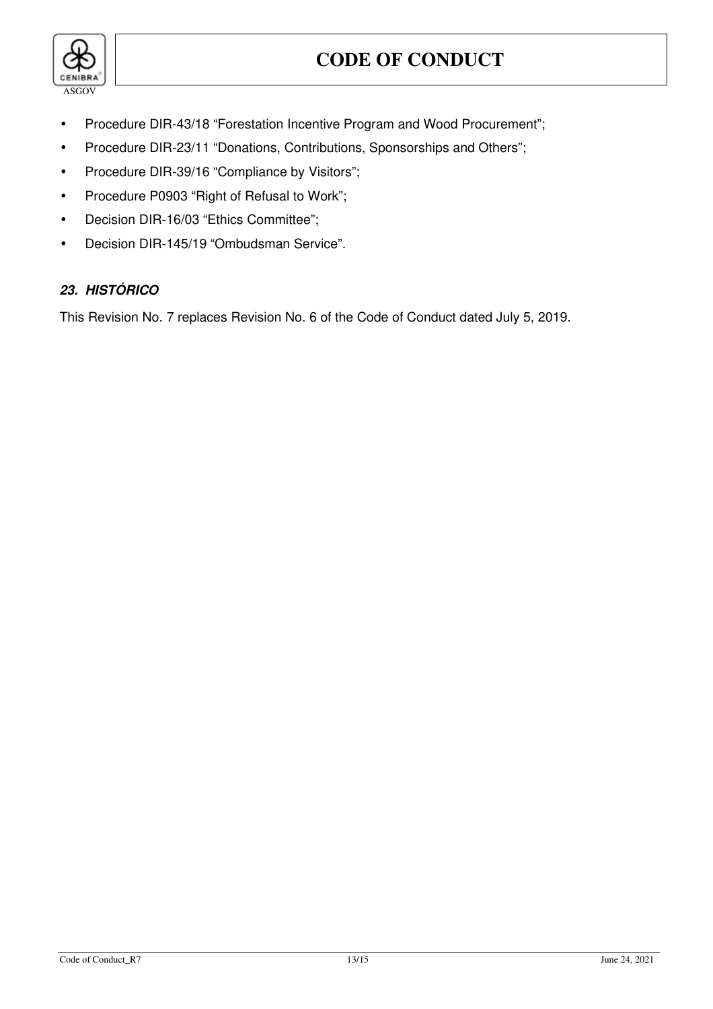

- Procedure DIR-43/18 "Forestation Incentive Program and Wood Procurement";
- Procedure DIR-23/11 "Donations, Contributions, Sponsorships and Others";
- Procedure DIR-39/16 "Compliance by Visitors";
- Procedure P0903 "Right of Refusal to Work";
- Decision DIR-16/03 "Ethics Committee";
- Decision DIR-145/19 "Ombudsman Service".

# **23. HISTÓRICO**

This Revision No. 7 replaces Revision No. 6 of the Code of Conduct dated July 5, 2019.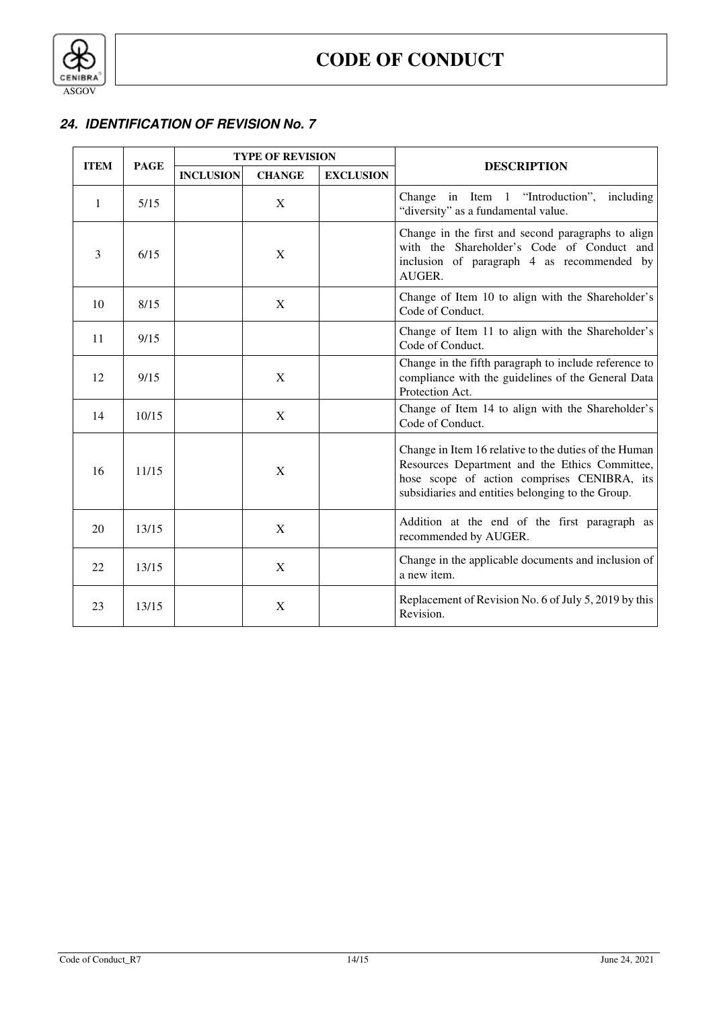

# **24. IDENTIFICATION OF REVISION No. 7**

| <b>ITEM</b> | <b>PAGE</b> | <b>TYPE OF REVISION</b> |               |                  |                                                                                                                                                                                                             |
|-------------|-------------|-------------------------|---------------|------------------|-------------------------------------------------------------------------------------------------------------------------------------------------------------------------------------------------------------|
|             |             | <b>INCLUSION</b>        | <b>CHANGE</b> | <b>EXCLUSION</b> | <b>DESCRIPTION</b>                                                                                                                                                                                          |
| 1           | 5/15        |                         | X             |                  | Change in Item 1 "Introduction", including<br>"diversity" as a fundamental value.                                                                                                                           |
| 3           | 6/15        |                         | X             |                  | Change in the first and second paragraphs to align<br>with the Shareholder's Code of Conduct and<br>inclusion of paragraph 4 as recommended by<br>AUGER.                                                    |
| 10          | 8/15        |                         | X             |                  | Change of Item 10 to align with the Shareholder's<br>Code of Conduct.                                                                                                                                       |
| 11          | 9/15        |                         |               |                  | Change of Item 11 to align with the Shareholder's<br>Code of Conduct.                                                                                                                                       |
| 12          | 9/15        |                         | X             |                  | Change in the fifth paragraph to include reference to<br>compliance with the guidelines of the General Data<br>Protection Act.                                                                              |
| 14          | 10/15       |                         | X             |                  | Change of Item 14 to align with the Shareholder's<br>Code of Conduct.                                                                                                                                       |
| 16          | 11/15       |                         | X             |                  | Change in Item 16 relative to the duties of the Human<br>Resources Department and the Ethics Committee,<br>hose scope of action comprises CENIBRA, its<br>subsidiaries and entities belonging to the Group. |
| 20          | 13/15       |                         | X             |                  | Addition at the end of the first paragraph as<br>recommended by AUGER.                                                                                                                                      |
| 22          | 13/15       |                         | $\mathbf X$   |                  | Change in the applicable documents and inclusion of<br>a new item.                                                                                                                                          |
| 23          | 13/15       |                         | X             |                  | Replacement of Revision No. 6 of July 5, 2019 by this<br>Revision.                                                                                                                                          |